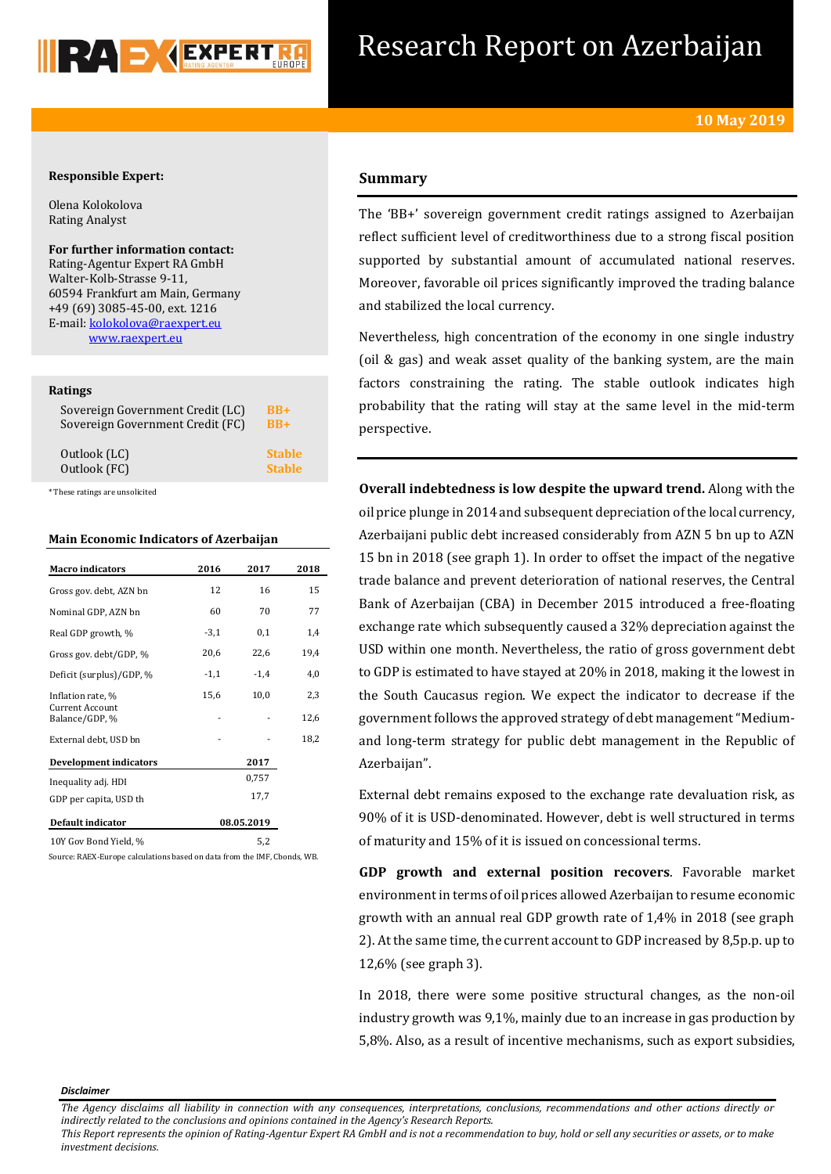

# Research Report on Azerbaijan

## **Responsible Expert:**

Olena Kolokolova Rating Analyst

**For further information contact:** Rating-Agentur Expert RA GmbH Walter-Kolb-Strasse 9-11, 60594 Frankfurt am Main, Germany +49 (69) 3085-45-00, ext. 1216 E-mail: [kolokolova@raexpert.eu](mailto:kolokolova@raexpert.eu) [www.raexpert.eu](http://raexpert.eu/)

### **Ratings**

| Sovereign Government Credit (LC) | $RB+$         |
|----------------------------------|---------------|
| Sovereign Government Credit (FC) | $BB+$         |
| Outlook (LC)                     | <b>Stable</b> |
| Outlook (FC)                     | <b>Stable</b> |

\* These ratings are unsolicited

### **Main Economic Indicators of Azerbaijan**

| <b>Macro</b> indicators                  | 2016   | 2017       | 2018 |
|------------------------------------------|--------|------------|------|
| Gross gov. debt, AZN bn                  | 12     | 16         | 15   |
| Nominal GDP, AZN bn                      | 60     | 70         | 77   |
| Real GDP growth, %                       | $-3,1$ | 0,1        | 1,4  |
| Gross gov. debt/GDP, %                   | 20,6   | 22,6       | 19,4 |
| Deficit (surplus)/GDP, %                 | $-1,1$ | $-1,4$     | 4,0  |
| Inflation rate, %                        | 15,6   | 10,0       | 2,3  |
| <b>Current Account</b><br>Balance/GDP, % |        |            | 12,6 |
| External debt, USD bn                    |        |            | 18,2 |
| Development indicators                   |        | 2017       |      |
| Inequality adj. HDI                      |        | 0,757      |      |
| GDP per capita, USD th                   |        | 17,7       |      |
| Default indicator                        |        | 08.05.2019 |      |
| 10Y Gov Bond Yield, %                    |        | 5,2        |      |

Source: RAEX-Europe calculations based on data from the IMF, Cbonds, WB.

# **Summary**

The 'BB+' sovereign government credit ratings assigned to Azerbaijan reflect sufficient level of creditworthiness due to a strong fiscal position supported by substantial amount of accumulated national reserves. Moreover, favorable oil prices significantly improved the trading balance and stabilized the local currency.

Nevertheless, high concentration of the economy in one single industry (oil & gas) and weak asset quality of the banking system, are the main factors constraining the rating. The stable outlook indicates high probability that the rating will stay at the same level in the mid-term perspective.

**Overall indebtedness is low despite the upward trend.** Along with the oil price plunge in 2014 and subsequent depreciation of the local currency, Azerbaijani public debt increased considerably from AZN 5 bn up to AZN 15 bn in 2018 (see graph 1). In order to offset the impact of the negative trade balance and prevent deterioration of national reserves, the Central Bank of Azerbaijan (CBA) in December 2015 introduced a free-floating exchange rate which subsequently caused a 32% depreciation against the USD within one month. Nevertheless, the ratio of gross government debt to GDP is estimated to have stayed at 20% in 2018, making it the lowest in the South Caucasus region. We expect the indicator to decrease if the government follows the approved strategy of debt management "Mediumand long-term strategy for public debt management in the Republic of Azerbaijan".

External debt remains exposed to the exchange rate devaluation risk, as 90% of it is USD-denominated. However, debt is well structured in terms of maturity and 15% of it is issued on concessional terms.

**GDP growth and external position recovers**. Favorable market environment in terms of oil prices allowed Azerbaijan to resume economic growth with an annual real GDP growth rate of 1,4% in 2018 (see graph 2). At the same time, the current account to GDP increased by 8,5p.p. up to 12,6% (see graph 3).

In 2018, there were some positive structural changes, as the non-oil industry growth was 9,1%, mainly due to an increase in gas production by 5,8%. Also, as a result of incentive mechanisms, such as export subsidies,

#### *Disclaimer*

*This Report represents the opinion of Rating-Agentur Expert RA GmbH and is not a recommendation to buy, hold or sell any securities or assets, or to make investment decisions.*

*The Agency disclaims all liability in connection with any consequences, interpretations, conclusions, recommendations and other actions directly or indirectly related to the conclusions and opinions contained in the Agency's Research Reports.*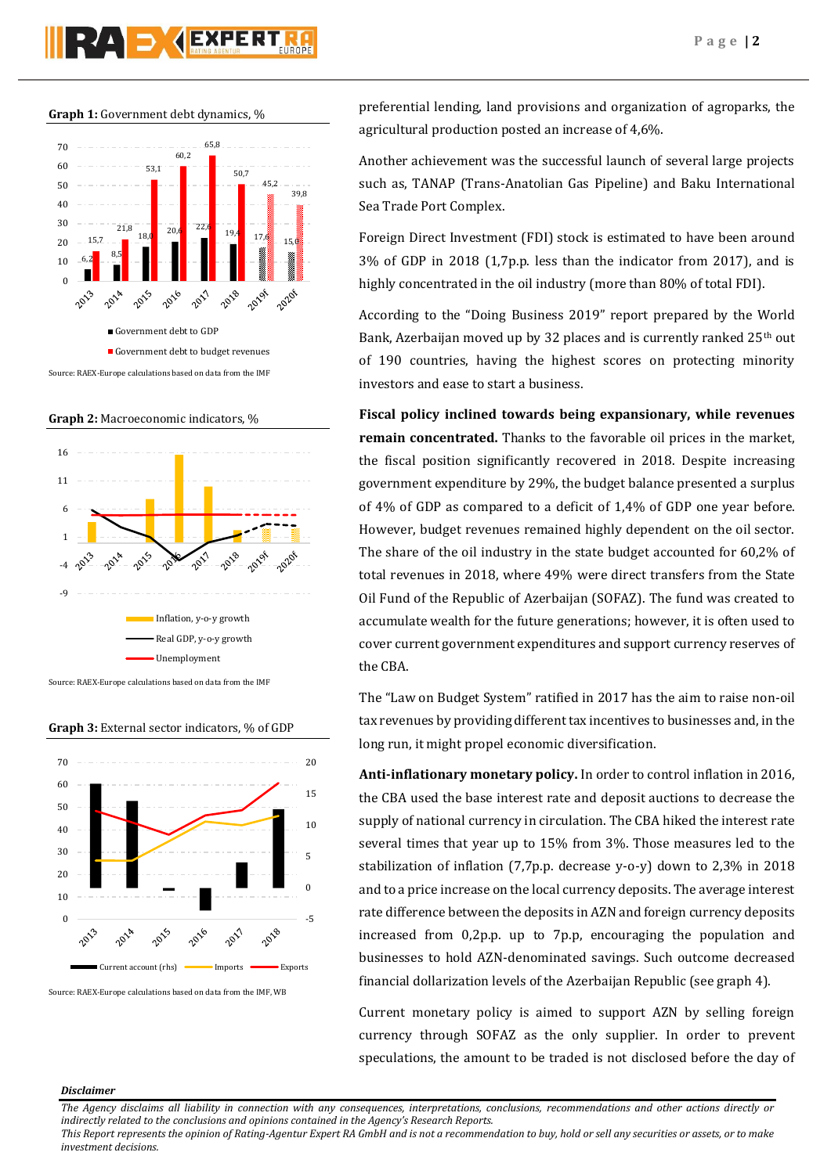# **PAD AEXPERT**

**Graph 1:** Government debt dynamics, %



**Graph 2:** Macroeconomic indicators, %



Source: RAEX-Europe calculations based on data from the IMF

### **Graph 3:** External sector indicators, % of GDP



Source: RAEX-Europe calculations based on data from the IMF, WB

preferential lending, land provisions and organization of agroparks, the agricultural production posted an increase of 4,6%.

Another achievement was the successful launch of several large projects such as, TANAP (Trans-Anatolian Gas Pipeline) and Baku International Sea Trade Port Complex.

Foreign Direct Investment (FDI) stock is estimated to have been around 3% of GDP in 2018 (1,7p.p. less than the indicator from 2017), and is highly concentrated in the oil industry (more than 80% of total FDI).

According to the "Doing Business 2019" report prepared by the World Bank, Azerbaijan moved up by 32 places and is currently ranked 25<sup>th</sup> out of 190 countries, having the highest scores on protecting minority investors and ease to start a business.

**Fiscal policy inclined towards being expansionary, while revenues remain concentrated.** Thanks to the favorable oil prices in the market, the fiscal position significantly recovered in 2018. Despite increasing government expenditure by 29%, the budget balance presented a surplus of 4% of GDP as compared to a deficit of 1,4% of GDP one year before. However, budget revenues remained highly dependent on the oil sector. The share of the oil industry in the state budget accounted for 60,2% of total revenues in 2018, where 49% were direct transfers from the State Oil Fund of the Republic of Azerbaijan (SOFAZ). The fund was created to accumulate wealth for the future generations; however, it is often used to cover current government expenditures and support currency reserves of the CBA.

The "Law on Budget System" ratified in 2017 has the aim to raise non-oil tax revenues by providing different tax incentives to businesses and, in the long run, it might propel economic diversification.

**Anti-inflationary monetary policy.** In order to control inflation in 2016, the CBA used the base interest rate and deposit auctions to decrease the supply of national currency in circulation. The CBA hiked the interest rate several times that year up to 15% from 3%. Those measures led to the stabilization of inflation (7,7p.p. decrease y-o-y) down to 2,3% in 2018 and to a price increase on the local currency deposits. The average interest rate difference between the deposits in AZN and foreign currency deposits increased from 0,2p.p. up to 7p.p, encouraging the population and businesses to hold AZN-denominated savings. Such outcome decreased financial dollarization levels of the Azerbaijan Republic (see graph 4).

Current monetary policy is aimed to support AZN by selling foreign currency through SOFAZ as the only supplier. In order to prevent speculations, the amount to be traded is not disclosed before the day of

### *Disclaimer*

*The Agency disclaims all liability in connection with any consequences, interpretations, conclusions, recommendations and other actions directly or indirectly related to the conclusions and opinions contained in the Agency's Research Reports.*

*This Report represents the opinion of Rating-Agentur Expert RA GmbH and is not a recommendation to buy, hold or sell any securities or assets, or to make investment decisions.*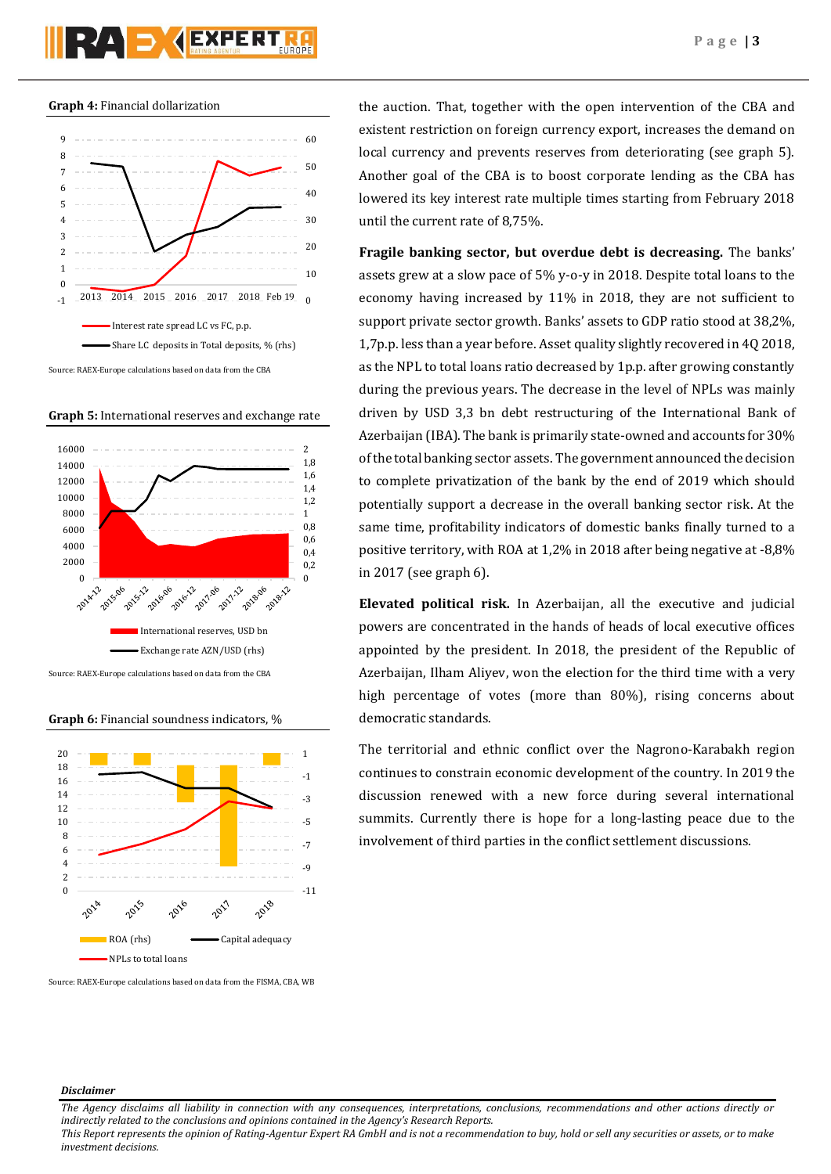



**Graph 5:** International reserves and exchange rate



**Graph 6:** Financial soundness indicators, %



Source: RAEX-Europe calculations based on data from the FISMA, CBA, WB

the auction. That, together with the open intervention of the CBA and existent restriction on foreign currency export, increases the demand on local currency and prevents reserves from deteriorating (see graph 5). Another goal of the CBA is to boost corporate lending as the CBA has lowered its key interest rate multiple times starting from February 2018 until the current rate of 8,75%.

**Fragile banking sector, but overdue debt is decreasing.** The banks' assets grew at a slow pace of 5% y-o-y in 2018. Despite total loans to the economy having increased by 11% in 2018, they are not sufficient to support private sector growth. Banks' assets to GDP ratio stood at 38,2%, 1,7p.p. less than a year before. Asset quality slightly recovered in 4Q 2018, as the NPL to total loans ratio decreased by 1p.p. after growing constantly during the previous years. The decrease in the level of NPLs was mainly driven by USD 3,3 bn debt restructuring of the International Bank of Azerbaijan (IBA). The bank is primarily state-owned and accounts for 30% of the total banking sector assets. The government announced the decision to complete privatization of the bank by the end of 2019 which should potentially support a decrease in the overall banking sector risk. At the same time, profitability indicators of domestic banks finally turned to a positive territory, with ROA at 1,2% in 2018 after being negative at -8,8% in 2017 (see graph 6).

**Elevated political risk.** In Azerbaijan, all the executive and judicial powers are concentrated in the hands of heads of local executive offices appointed by the president. In 2018, the president of the Republic of Azerbaijan, Ilham Aliyev, won the election for the third time with a very high percentage of votes (more than 80%), rising concerns about democratic standards.

The territorial and ethnic conflict over the Nagrono-Karabakh region continues to constrain economic development of the country. In 2019 the discussion renewed with a new force during several international summits. Currently there is hope for a long-lasting peace due to the involvement of third parties in the conflict settlement discussions.

### *Disclaimer*

*The Agency disclaims all liability in connection with any consequences, interpretations, conclusions, recommendations and other actions directly or indirectly related to the conclusions and opinions contained in the Agency's Research Reports.*

*This Report represents the opinion of Rating-Agentur Expert RA GmbH and is not a recommendation to buy, hold or sell any securities or assets, or to make investment decisions.*